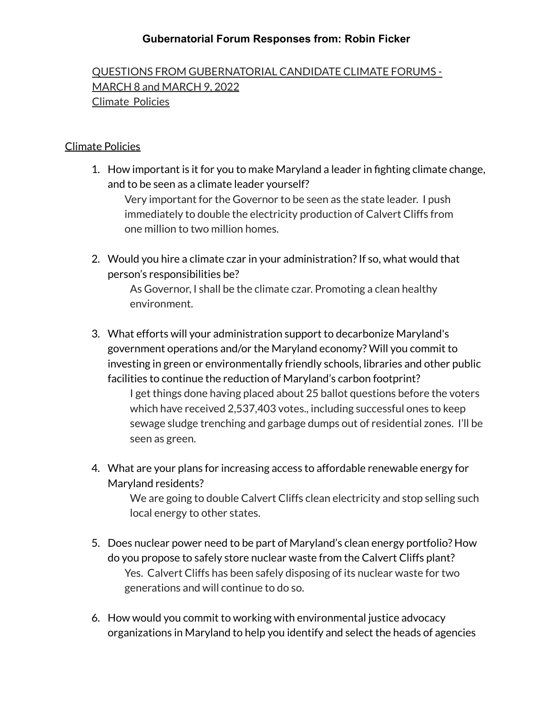QUESTIONS FROM GUBERNATORIAL CANDIDATE CLIMATE FORUMS - MARCH 8 and MARCH 9, 2022 Climate Policies

#### Climate Policies

1. How important is it for you to make Maryland a leader in fighting climate change, and to be seen as a climate leader yourself?

Very important for the Governor to be seen as the state leader. I push immediately to double the electricity production of Calvert Cliffs from one million to two million homes.

2. Would you hire a climate czar in your administration? If so, what would that person's responsibilities be?

> As Governor, I shall be the climate czar. Promoting a clean healthy environment.

3. What efforts will your administration support to decarbonize Maryland's government operations and/or the Maryland economy? Will you commit to investing in green or environmentally friendly schools, libraries and other public facilities to continue the reduction of Maryland's carbon footprint? I get things done having placed about 25 ballot questions before the voters

which have received 2,537,403 votes., including successful ones to keep sewage sludge trenching and garbage dumps out of residential zones. I'll be seen as green.

4. What are your plans for increasing access to affordable renewable energy for Maryland residents?

> We are going to double Calvert Cliffs clean electricity and stop selling such local energy to other states.

- 5. Does nuclear power need to be part of Maryland's clean energy portfolio? How do you propose to safely store nuclear waste from the Calvert Cliffs plant? Yes. Calvert Cliffs has been safely disposing of its nuclear waste for two generations and will continue to do so.
- 6. How would you commit to working with environmental justice advocacy organizations in Maryland to help you identify and select the heads of agencies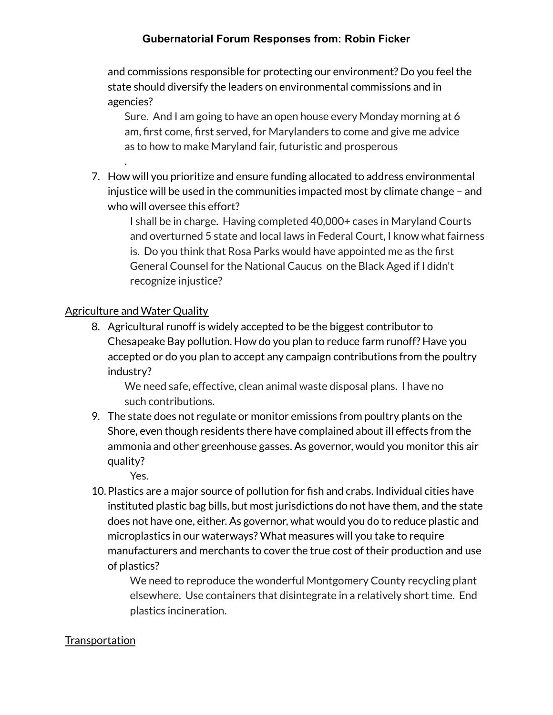and commissions responsible for protecting our environment? Do you feel the state should diversify the leaders on environmental commissions and in agencies?

Sure. And I am going to have an open house every Monday morning at 6 am, first come, first served, for Marylanders to come and give me advice as to how to make Maryland fair, futuristic and prosperous

7. How will you prioritize and ensure funding allocated to address environmental injustice will be used in the communities impacted most by climate change – and who will oversee this effort?

I shall be in charge. Having completed 40,000+ cases in Maryland Courts and overturned 5 state and local laws in Federal Court, I know what fairness is. Do you think that Rosa Parks would have appointed me as the first General Counsel for the National Caucus on the Black Aged if I didn't recognize injustice?

# Agriculture and Water Quality

.

8. Agricultural runoff is widely accepted to be the biggest contributor to Chesapeake Bay pollution. How do you plan to reduce farm runoff? Have you accepted or do you plan to accept any campaign contributions from the poultry industry?

We need safe, effective, clean animal waste disposal plans. I have no such contributions.

9. The state does not regulate or monitor emissions from poultry plants on the Shore, even though residents there have complained about ill effects from the ammonia and other greenhouse gasses. As governor, would you monitor this air quality?

Yes.

10.Plastics are a major source of pollution for fish and crabs. Individual cities have instituted plastic bag bills, but most jurisdictions do not have them, and the state does not have one, either. As governor, what would you do to reduce plastic and microplastics in our waterways? What measures will you take to require manufacturers and merchants to cover the true cost of their production and use of plastics?

We need to reproduce the wonderful Montgomery County recycling plant elsewhere. Use containers that disintegrate in a relatively short time. End plastics incineration.

# **Transportation**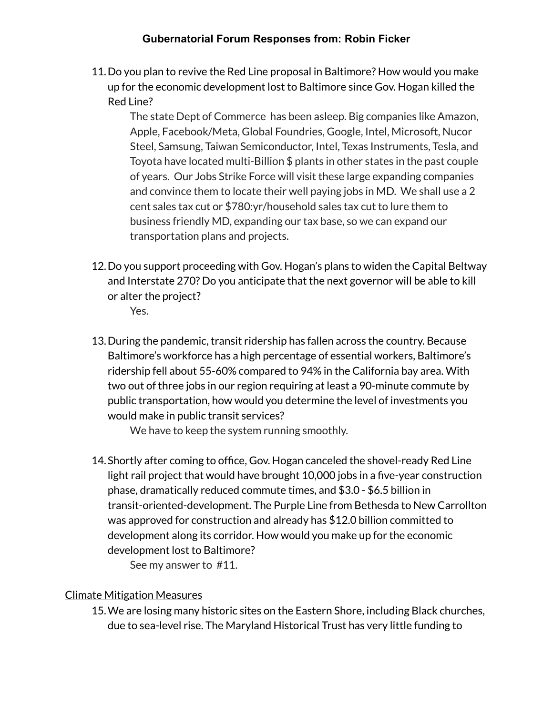11.Do you plan to revive the Red Line proposal in Baltimore? How would you make up for the economic development lost to Baltimore since Gov. Hogan killed the Red Line?

The state Dept of Commerce has been asleep. Big companies like Amazon, Apple, Facebook/Meta, Global Foundries, Google, Intel, Microsoft, Nucor Steel, Samsung, Taiwan Semiconductor, Intel, Texas Instruments, Tesla, and Toyota have located multi-Billion \$ plants in other states in the past couple of years. Our Jobs Strike Force will visit these large expanding companies and convince them to locate their well paying jobs in MD. We shall use a 2 cent sales tax cut or \$780:yr/household sales tax cut to lure them to business friendly MD, expanding our tax base, so we can expand our transportation plans and projects.

12.Do you support proceeding with Gov. Hogan's plans to widen the Capital Beltway and Interstate 270? Do you anticipate that the next governor will be able to kill or alter the project?

Yes.

13.During the pandemic, transit ridership has fallen across the country. Because Baltimore's workforce has a high percentage of essential workers, Baltimore's ridership fell about 55-60% compared to 94% in the California bay area. With two out of three jobs in our region requiring at least a 90-minute commute by public transportation, how would you determine the level of investments you would make in public transit services?

We have to keep the system running smoothly.

14.Shortly after coming to office, Gov. Hogan canceled the shovel-ready Red Line light rail project that would have brought 10,000 jobs in a five-year construction phase, dramatically reduced commute times, and \$3.0 - \$6.5 billion in transit-oriented-development. The Purple Line from Bethesda to New Carrollton was approved for construction and already has \$12.0 billion committed to development along its corridor. How would you make up for the economic development lost to Baltimore?

See my answer to #11.

#### Climate Mitigation Measures

15.We are losing many historic sites on the Eastern Shore, including Black churches, due to sea-level rise. The Maryland Historical Trust has very little funding to